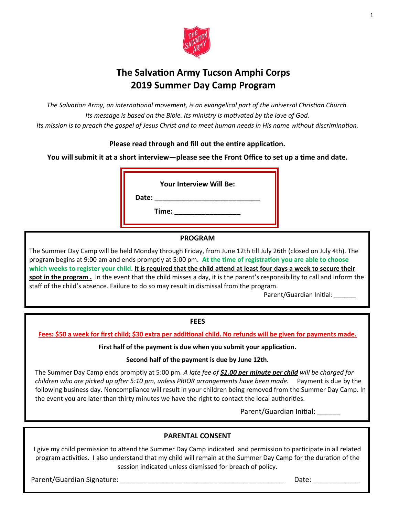

# **The Salvation Army Tucson Amphi Corps 2019 Summer Day Camp Program**

*The Salvation Army, an international movement, is an evangelical part of the universal Christian Church. Its message is based on the Bible. Its ministry is motivated by the love of God. Its mission is to preach the gospel of Jesus Christ and to meet human needs in His name without discrimination.*

## **Please read through and fill out the entire application.**

**You will submit it at a short interview—please see the Front Office to set up a time and date.** 

**Your Interview Will Be:**

**Date: \_\_\_\_\_\_\_\_\_\_\_\_\_\_\_\_\_\_\_\_\_\_\_\_\_\_\_**

**Time: \_\_\_\_\_\_\_\_\_\_\_\_\_\_\_\_\_**

## **PROGRAM**

The Summer Day Camp will be held Monday through Friday, from June 12th till July 26th (closed on July 4th). The program begins at 9:00 am and ends promptly at 5:00 pm. **At the time of registration you are able to choose which weeks to register your child**. **It is required that the child attend at least four days a week to secure their spot in the program .** In the event that the child misses a day, it is the parent's responsibility to call and inform the staff of the child's absence. Failure to do so may result in dismissal from the program.

Parent/Guardian Initial:

### **FEES**

**Fees: \$50 a week for first child; \$30 extra per additional child. No refunds will be given for payments made.**

**First half of the payment is due when you submit your application.**

**Second half of the payment is due by June 12th.**

The Summer Day Camp ends promptly at 5:00 pm. *A late fee of \$1.00 per minute per child will be charged for children who are picked up after 5:10 pm, unless PRIOR arrangements have been made.* Payment is due by the following business day. Noncompliance will result in your children being removed from the Summer Day Camp. In the event you are later than thirty minutes we have the right to contact the local authorities.

Parent/Guardian Initial:

### **PARENTAL CONSENT**

I give my child permission to attend the Summer Day Camp indicated and permission to participate in all related program activities. I also understand that my child will remain at the Summer Day Camp for the duration of the session indicated unless dismissed for breach of policy.

Parent/Guardian Signature: \_\_\_\_\_\_\_\_\_\_\_\_\_\_\_\_\_\_\_\_\_\_\_\_\_\_\_\_\_\_\_\_\_\_\_\_\_\_\_\_\_\_ Date: \_\_\_\_\_\_\_\_\_\_\_\_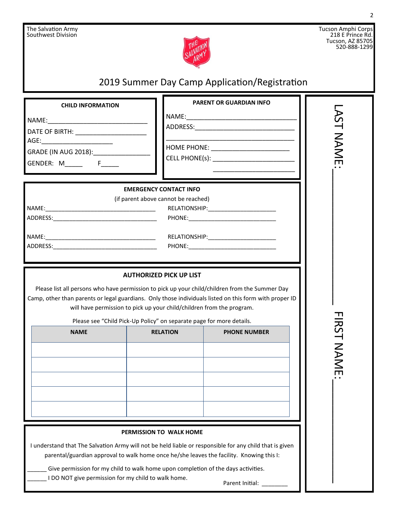

Tucson Amphi Corps 218 E Prince Rd. Tucson, AZ 85705 520-888-1299

# 2019 Summer Day Camp Application/Registration **PARENT OR GUARDIAN INFO CHILD INFORMATION** LAST NAME:\_\_\_\_\_\_\_\_\_\_\_\_\_\_\_\_\_\_\_\_\_ FIRST NAME:\_\_\_\_\_\_\_\_\_\_\_\_\_\_\_\_ **AST NAME** NAME:\_\_\_\_\_\_\_\_\_\_\_\_\_\_\_\_\_\_\_\_\_\_\_\_\_\_\_\_\_\_\_  $NAME:$ ADDRESS:\_\_\_\_\_\_\_\_\_\_\_\_\_\_\_\_\_\_\_\_\_\_\_\_\_\_\_\_ DATE OF BIRTH: **WATER** \_\_\_\_\_\_\_\_\_\_\_\_\_\_\_\_\_\_\_\_\_\_\_\_\_\_\_\_\_\_\_\_\_\_\_\_  $\mathsf{AGE:}\hspace{25pt}$ HOME PHONE: \_\_\_\_\_\_\_\_\_\_\_\_\_\_\_\_\_\_\_\_\_\_ GRADE (IN AUG 2018):\_\_\_\_\_\_\_\_\_\_\_\_\_\_\_\_ CELL PHONE(s): \_\_\_\_\_\_\_\_\_\_\_\_\_\_\_\_\_\_\_\_\_\_\_ GENDER: M\_\_\_\_\_ F\_\_\_\_\_  $\frac{1}{\sqrt{2}}$  ,  $\frac{1}{\sqrt{2}}$  ,  $\frac{1}{\sqrt{2}}$  ,  $\frac{1}{\sqrt{2}}$  ,  $\frac{1}{\sqrt{2}}$  ,  $\frac{1}{\sqrt{2}}$  ,  $\frac{1}{\sqrt{2}}$  ,  $\frac{1}{\sqrt{2}}$  ,  $\frac{1}{\sqrt{2}}$  ,  $\frac{1}{\sqrt{2}}$  ,  $\frac{1}{\sqrt{2}}$  ,  $\frac{1}{\sqrt{2}}$  ,  $\frac{1}{\sqrt{2}}$  ,  $\frac{1}{\sqrt{2}}$  ,  $\frac{1}{\sqrt{2}}$ **EMERGENCY CONTACT INFO**  (if parent above cannot be reached) NAME:\_\_\_\_\_\_\_\_\_\_\_\_\_\_\_\_\_\_\_\_\_\_\_\_\_\_\_\_\_\_\_\_\_\_ RELATIONSHIP:\_\_\_\_\_\_\_\_\_\_\_\_\_\_\_\_\_\_\_\_\_ ADDRESS:\_\_\_\_\_\_\_\_\_\_\_\_\_\_\_\_\_\_\_\_\_\_\_\_\_\_\_\_\_\_\_\_ PHONE:\_\_\_\_\_\_\_\_\_\_\_\_\_\_\_\_\_\_\_\_\_\_\_\_\_\_\_ NAME:\_\_\_\_\_\_\_\_\_\_\_\_\_\_\_\_\_\_\_\_\_\_\_\_\_\_\_\_\_\_\_\_\_\_ RELATIONSHIP:\_\_\_\_\_\_\_\_\_\_\_\_\_\_\_\_\_\_\_\_\_ ADDRESS:\_\_\_\_\_\_\_\_\_\_\_\_\_\_\_\_\_\_\_\_\_\_\_\_\_\_\_\_\_\_\_\_ PHONE:\_\_\_\_\_\_\_\_\_\_\_\_\_\_\_\_\_\_\_\_\_\_\_\_\_\_\_ **AUTHORIZED PICK UP LIST** Please list all persons who have permission to pick up your child/children from the Summer Day Camp, other than parents or legal guardians. Only those individuals listed on this form with proper ID will have permission to pick up your child/children from the program. **FIRST NAME** Please see "Child Pick-Up Policy" on separate page for more details. **NAME RELATION PHONE NUMBER PERMISSION TO WALK HOME** I understand that The Salvation Army will not be held liable or responsible for any child that is given parental/guardian approval to walk home once he/she leaves the facility. Knowing this I: Give permission for my child to walk home upon completion of the days activities. I DO NOT give permission for my child to walk home. Parent Initial: \_\_\_\_\_\_\_\_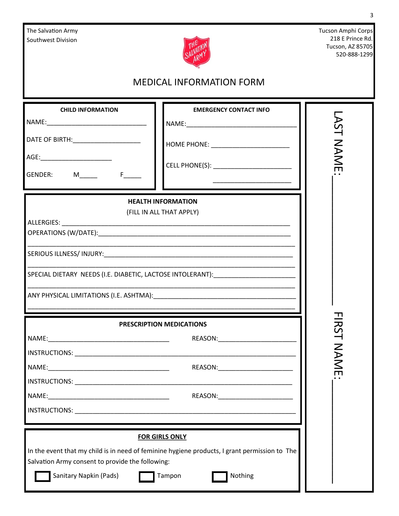| The Salvation Army<br>Southwest Division                                                                                                                                                                                                            |                                                                                                                                             | Tucson Amphi Corps<br>218 E Prince Rd.<br>Tucson, AZ 85705<br>520-888-1299 |
|-----------------------------------------------------------------------------------------------------------------------------------------------------------------------------------------------------------------------------------------------------|---------------------------------------------------------------------------------------------------------------------------------------------|----------------------------------------------------------------------------|
| <b>MEDICAL INFORMATION FORM</b>                                                                                                                                                                                                                     |                                                                                                                                             |                                                                            |
| <b>CHILD INFORMATION</b><br>DATE OF BIRTH: ________________________<br>GENDER: M______ F____                                                                                                                                                        | <b>EMERGENCY CONTACT INFO</b><br>HOME PHONE: _______________________                                                                        | AST<br>NAME                                                                |
| ALLERGIES:                                                                                                                                                                                                                                          | <b>HEALTH INFORMATION</b><br>(FILL IN ALL THAT APPLY)<br>SPECIAL DIETARY NEEDS (I.E. DIABETIC, LACTOSE INTOLERANT):                         |                                                                            |
| <b>IRST</b><br>PRESCRIPTION MEDICATIONS<br>REASON:_________________________<br><b>INAME</b><br>REASON:_________________________<br>and the control of the control of the control of the control of the control of the control of the control of the |                                                                                                                                             |                                                                            |
| Salvation Army consent to provide the following:<br>Sanitary Napkin (Pads)                                                                                                                                                                          | <b>FOR GIRLS ONLY</b><br>In the event that my child is in need of feminine hygiene products, I grant permission to The<br>Tampon<br>Nothing |                                                                            |

3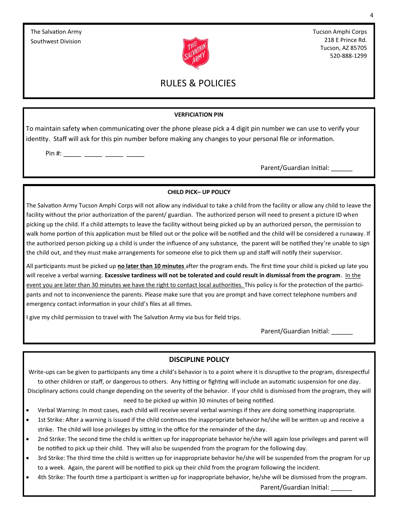

Tucson Amphi Corps 218 E Prince Rd. Tucson, AZ 85705 520-888-1299

# RULES & POLICIES

#### **VERFICIATION PIN**

To maintain safety when communicating over the phone please pick a 4 digit pin number we can use to verify your identity. Staff will ask for this pin number before making any changes to your personal file or information.

Pin #: \_\_\_\_\_\_ \_\_\_\_\_\_ \_\_\_\_\_\_ \_\_\_\_\_\_

Parent/Guardian Initial:

#### **CHILD PICK– UP POLICY**

The Salvation Army Tucson Amphi Corps will not allow any individual to take a child from the facility or allow any child to leave the facility without the prior authorization of the parent/ guardian. The authorized person will need to present a picture ID when picking up the child. If a child attempts to leave the facility without being picked up by an authorized person, the permission to walk home portion of this application must be filled out or the police will be notified and the child will be considered a runaway. If the authorized person picking up a child is under the influence of any substance, the parent will be notified they're unable to sign the child out, and they must make arrangements for someone else to pick them up and staff will notify their supervisor.

All participants must be picked up **no later than 10 minutes** after the program ends. The first time your child is picked up late you will receive a verbal warning. **Excessive tardiness will not be tolerated and could result in dismissal from the program**. In the event you are later than 30 minutes we have the right to contact local authorities. This policy is for the protection of the participants and not to inconvenience the parents. Please make sure that you are prompt and have correct telephone numbers and emergency contact information in your child's files at all times.

I give my child permission to travel with The Salvation Army via bus for field trips.

Parent/Guardian Initial:

### **DISCIPLINE POLICY**

Write-ups can be given to participants any time a child's behavior is to a point where it is disruptive to the program, disrespectful to other children or staff, or dangerous to others. Any hitting or fighting will include an automatic suspension for one day. Disciplinary actions could change depending on the severity of the behavior. If your child is dismissed from the program, they will need to be picked up within 30 minutes of being notified.

- Verbal Warning: In most cases, each child will receive several verbal warnings if they are doing something inappropriate.
- 1st Strike: After a warning is issued if the child continues the inappropriate behavior he/she will be written up and receive a strike. The child will lose privileges by sitting in the office for the remainder of the day.
- 2nd Strike: The second time the child is written up for inappropriate behavior he/she will again lose privileges and parent will be notified to pick up their child. They will also be suspended from the program for the following day.
- 3rd Strike: The third time the child is written up for inappropriate behavior he/she will be suspended from the program for up to a week. Again, the parent will be notified to pick up their child from the program following the incident.
- 4th Strike: The fourth time a participant is written up for inappropriate behavior, he/she will be dismissed from the program. Parent/Guardian Initial: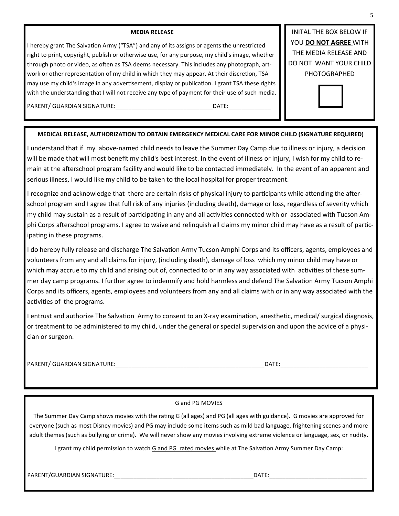#### **MEDIA RELEASE**

I hereby grant The Salvation Army ("TSA") and any of its assigns or agents the unrestricted right to print, copyright, publish or otherwise use, for any purpose, my child's image, whether through photo or video, as often as TSA deems necessary. This includes any photograph, artwork or other representation of my child in which they may appear. At their discretion, TSA may use my child's image in any advertisement, display or publication. I grant TSA these rights with the understanding that I will not receive any type of payment for their use of such media.

INITAL THE BOX BELOW IF YOU **DO NOT AGREE** WITH THE MEDIA RELEASE AND DO NOT WANT YOUR CHILD PHOTOGRAPHED



#### PARENT/ GUARDIAN SIGNATURE:\_\_\_\_\_\_\_\_\_\_\_\_\_\_\_\_\_\_\_\_\_\_\_\_\_\_\_\_\_\_DATE:\_\_\_\_\_\_\_\_\_\_\_\_\_

#### **MEDICAL RELEASE, AUTHORIZATION TO OBTAIN EMERGENCY MEDICAL CARE FOR MINOR CHILD (SIGNATURE REQUIRED)**

I understand that if my above-named child needs to leave the Summer Day Camp due to illness or injury, a decision will be made that will most benefit my child's best interest. In the event of illness or injury, I wish for my child to remain at the afterschool program facility and would like to be contacted immediately. In the event of an apparent and serious illness, I would like my child to be taken to the local hospital for proper treatment.

I recognize and acknowledge that there are certain risks of physical injury to participants while attending the afterschool program and I agree that full risk of any injuries (including death), damage or loss, regardless of severity which my child may sustain as a result of participating in any and all activities connected with or associated with Tucson Amphi Corps afterschool programs. I agree to waive and relinquish all claims my minor child may have as a result of participating in these programs.

I do hereby fully release and discharge The Salvation Army Tucson Amphi Corps and its officers, agents, employees and volunteers from any and all claims for injury, (including death), damage of loss which my minor child may have or which may accrue to my child and arising out of, connected to or in any way associated with activities of these summer day camp programs. I further agree to indemnify and hold harmless and defend The Salvation Army Tucson Amphi Corps and its officers, agents, employees and volunteers from any and all claims with or in any way associated with the activities of the programs.

I entrust and authorize The Salvation Army to consent to an X-ray examination, anesthetic, medical/ surgical diagnosis, or treatment to be administered to my child, under the general or special supervision and upon the advice of a physician or surgeon.

PARENT/ GUARDIAN SIGNATURE:\_\_\_\_\_\_\_\_\_\_\_\_\_\_\_\_\_\_\_\_\_\_\_\_\_\_\_\_\_\_\_\_\_\_\_\_\_\_\_\_\_\_\_\_\_\_DATE:\_\_\_\_\_\_\_\_\_\_\_\_\_\_\_\_\_\_\_\_\_\_\_\_\_\_\_

#### G and PG MOVIES

The Summer Day Camp shows movies with the rating G (all ages) and PG (all ages with guidance). G movies are approved for everyone (such as most Disney movies) and PG may include some items such as mild bad language, frightening scenes and more adult themes (such as bullying or crime). We will never show any movies involving extreme violence or language, sex, or nudity.

I grant my child permission to watch G and PG rated movies while at The Salvation Army Summer Day Camp:

PARENT/GUARDIAN SIGNATURE:\_\_\_\_\_\_\_\_\_\_\_\_\_\_\_\_\_\_\_\_\_\_\_\_\_\_\_\_\_\_\_\_\_\_\_\_\_\_\_\_\_\_\_DATE:\_\_\_\_\_\_\_\_\_\_\_\_\_\_\_\_\_\_\_\_\_\_\_\_\_\_\_\_\_\_